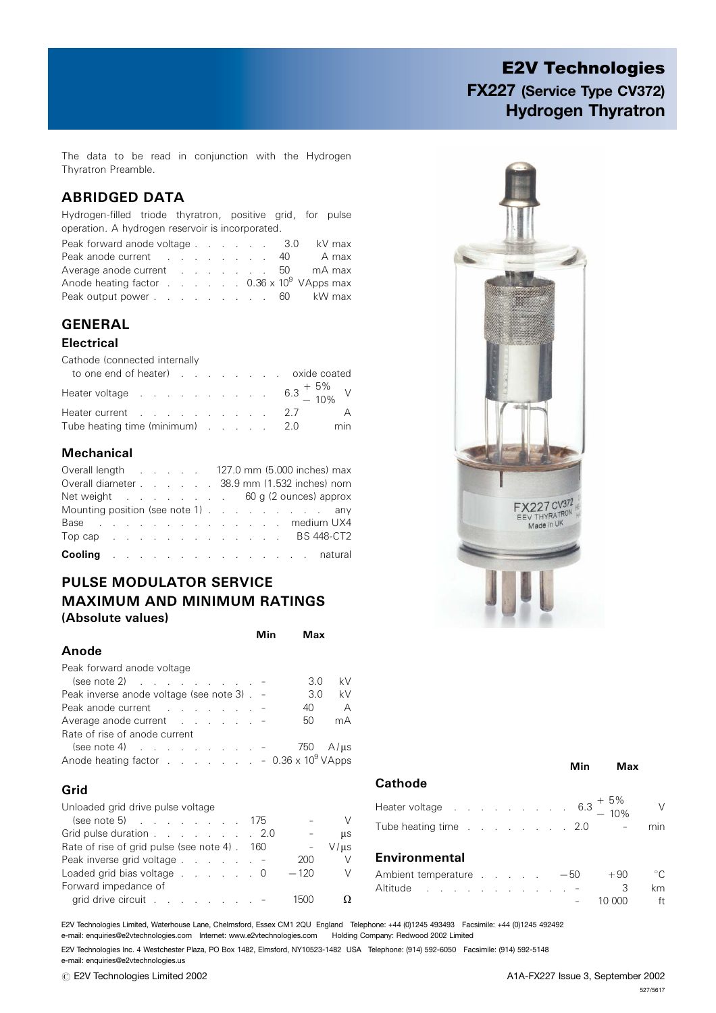# E2V Technologies FX227 (Service Type CV372) Hydrogen Thyratron

The data to be read in conjunction with the Hydrogen Thyratron Preamble.

## ABRIDGED DATA

Hydrogen-filled triode thyratron, positive grid, for pulse operation. A hydrogen reservoir is incorporated.

| Peak forward anode voltage 3.0 kV max                                            |  |  |  |  |  |
|----------------------------------------------------------------------------------|--|--|--|--|--|
| Peak anode current 40 A max                                                      |  |  |  |  |  |
| Average anode current 50 mA max                                                  |  |  |  |  |  |
| Anode heating factor $\ldots$ $\ldots$ $\ldots$ 0.36 x 10 <sup>9</sup> VApps max |  |  |  |  |  |
| Peak output power 60 kW max                                                      |  |  |  |  |  |

#### GENERAL

#### Electrical

Cathode (connected internally

| to one end of heater) oxide coated                                                                     |  |  |                |
|--------------------------------------------------------------------------------------------------------|--|--|----------------|
| Heater voltage $\therefore$ $\therefore$ $\therefore$ $\therefore$ $\therefore$ $6.3\frac{+}{-10\%}$ V |  |  |                |
| Heater current 2.7                                                                                     |  |  | $\overline{A}$ |
| Tube heating time (minimum) 2.0                                                                        |  |  | min            |

#### **Mechanical**

| Overall length 127.0 mm (5.000 inches) max                            |  |  |  |  |  |  |  |  |  |
|-----------------------------------------------------------------------|--|--|--|--|--|--|--|--|--|
| Overall diameter 38.9 mm (1.532 inches) nom                           |  |  |  |  |  |  |  |  |  |
| Net weight $\ldots$ $\ldots$ $\ldots$ $\ldots$ 60 g (2 ounces) approx |  |  |  |  |  |  |  |  |  |
| Mounting position (see note 1) any                                    |  |  |  |  |  |  |  |  |  |
| Base medium UX4                                                       |  |  |  |  |  |  |  |  |  |
| Top cap $\cdots$ $\cdots$ $\cdots$ $\cdots$ $\cdots$ BS 448-CT2       |  |  |  |  |  |  |  |  |  |
| Cooling natural                                                       |  |  |  |  |  |  |  |  |  |

# PULSE MODULATOR SERVICE MAXIMUM AND MINIMUM RATINGS (Absolute values)

|                                                         | Min | Max |    |
|---------------------------------------------------------|-----|-----|----|
| Anode                                                   |     |     |    |
| Peak forward anode voltage                              |     |     |    |
|                                                         |     | 3.0 | kV |
| Peak inverse anode voltage (see note 3) . -             |     | 3.0 | kV |
| Peak anode current<br>and the state of the state of the |     | 40  | А  |
| Average anode current -                                 |     | 50  | mА |
|                                                         |     |     |    |

| Rate of rise of anode current                                                                         |  |  |  |  |  |  |
|-------------------------------------------------------------------------------------------------------|--|--|--|--|--|--|
| (see note 4) $\ldots$ $\ldots$ $\ldots$ $\ldots$ $\ldots$ 750 A/ $\mu$ s                              |  |  |  |  |  |  |
| Anode heating factor $\ldots$ $\ldots$ $\ldots$ $\ldots$ $\ldots$ $\sim$ 0.36 x 10 <sup>9</sup> VApps |  |  |  |  |  |  |

#### Grid

Unloaded grid drive pulse voltage

| $(see note 5)$ 175                           |        | $\vee$    |
|----------------------------------------------|--------|-----------|
| Grid pulse duration 2.0                      |        | <b>us</b> |
| Rate of rise of grid pulse (see note 4). 160 |        | $V/\mu s$ |
| Peak inverse grid voltage -                  | 200    | $\vee$    |
| Loaded grid bias voltage 0                   | $-120$ | - V       |
| Forward impedance of                         |        |           |
| grid drive circuit -                         | 1500   | Ω         |
|                                              |        |           |



|                                     | Min   | Max          |
|-------------------------------------|-------|--------------|
| Cathode                             |       |              |
| Heater voltage 6.3 $^+$ 5%<br>- 10% |       |              |
| Tube heating time 2.0               |       | min          |
| <b>Environmental</b>                |       |              |
| Ambient temperature                 | $-50$ | $+90$<br>___ |

| Ambient temperature – 50 |  |  |  |  |  |  | $+90^\circ$ $\circ$ C |  |
|--------------------------|--|--|--|--|--|--|-----------------------|--|
|                          |  |  |  |  |  |  | Altitude -   3 km     |  |
|                          |  |  |  |  |  |  | 10.000 ft             |  |

E2V Technologies Limited, Waterhouse Lane, Chelmsford, Essex CM1 2QU England Telephone: +44 (0)1245 493493 Facsimile: +44 (0)1245 492492 e-mail: enquiries@e2vtechnologies.com Internet: www.e2vtechnologies.com Holding Company: Redwood 2002 Limited

E2V Technologies Inc. 4 Westchester Plaza, PO Box 1482, Elmsford, NY10523-1482 USA Telephone: (914) 592-6050 Facsimile: (914) 592-5148 e-mail: enquiries@e2vtechnologies.us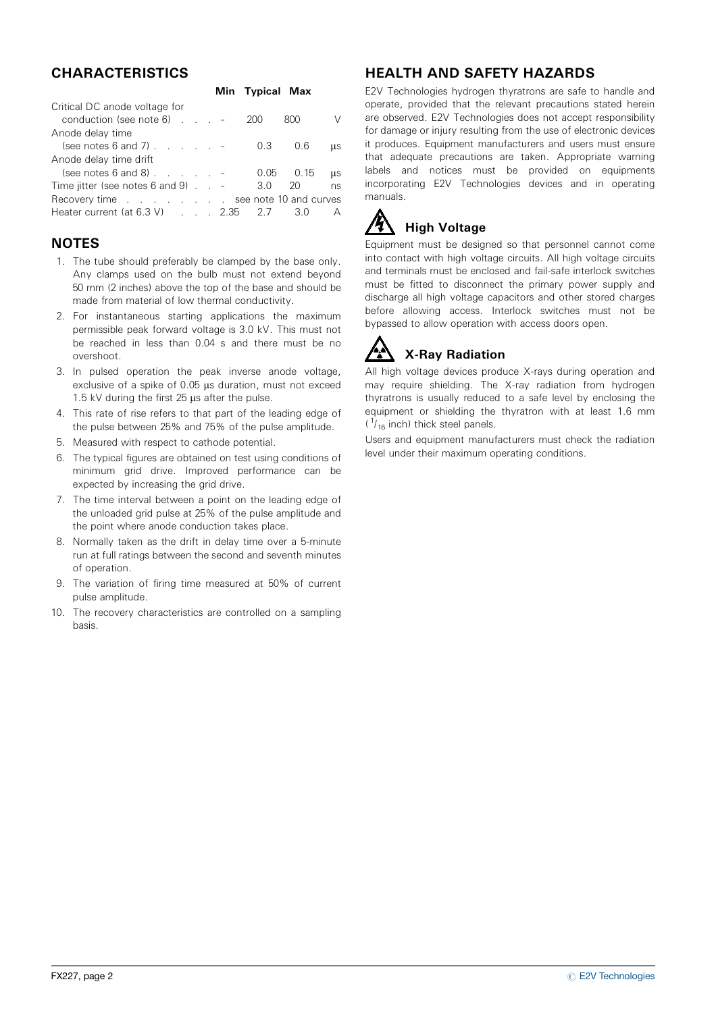# CHARACTERISTICS

|                                                     |  | Min Typical Max |             |            |
|-----------------------------------------------------|--|-----------------|-------------|------------|
| Critical DC anode voltage for                       |  |                 |             |            |
| conduction (see note $6$ ) $\ldots$ $\ldots$        |  | - 200           | 800         | V          |
| Anode delay time                                    |  |                 |             |            |
| (see notes 6 and 7) $\ldots$ $\ldots$ $\ldots$      |  | 0.3             | 0.6         | <b>LLS</b> |
| Anode delay time drift                              |  |                 |             |            |
| (see notes $6$ and $8$ ) $\ldots$ $\ldots$ $\ldots$ |  |                 | $0.05$ 0.15 | $\mu$ s    |
| Time jitter (see notes 6 and 9) $\ldots$ -          |  |                 | 3.0 20      | ns         |
| Recovery time see note 10 and curves                |  |                 |             |            |
| Heater current (at 6.3 V) 2.35 2.7 3.0              |  |                 |             | А          |
|                                                     |  |                 |             |            |

#### **NOTES**

- 1. The tube should preferably be clamped by the base only. Any clamps used on the bulb must not extend beyond 50 mm (2 inches) above the top of the base and should be made from material of low thermal conductivity.
- 2. For instantaneous starting applications the maximum permissible peak forward voltage is 3.0 kV. This must not be reached in less than 0.04 s and there must be no overshoot.
- 3. In pulsed operation the peak inverse anode voltage, exclusive of a spike of  $0.05 \mu s$  duration, must not exceed 1.5 kV during the first  $25 \mu s$  after the pulse.
- 4. This rate of rise refers to that part of the leading edge of the pulse between 25% and 75% of the pulse amplitude.
- 5. Measured with respect to cathode potential.
- 6. The typical figures are obtained on test using conditions of minimum grid drive. Improved performance can be expected by increasing the grid drive.
- 7. The time interval between a point on the leading edge of the unloaded grid pulse at 25% of the pulse amplitude and the point where anode conduction takes place.
- 8. Normally taken as the drift in delay time over a 5-minute run at full ratings between the second and seventh minutes of operation.
- 9. The variation of firing time measured at 50% of current pulse amplitude.
- 10. The recovery characteristics are controlled on a sampling basis.

# HEALTH AND SAFETY HAZARDS

E2V Technologies hydrogen thyratrons are safe to handle and operate, provided that the relevant precautions stated herein are observed. E2V Technologies does not accept responsibility for damage or injury resulting from the use of electronic devices it produces. Equipment manufacturers and users must ensure that adequate precautions are taken. Appropriate warning labels and notices must be provided on equipments incorporating E2V Technologies devices and in operating manuals.

# High Voltage

Equipment must be designed so that personnel cannot come into contact with high voltage circuits. All high voltage circuits and terminals must be enclosed and fail-safe interlock switches must be fitted to disconnect the primary power supply and discharge all high voltage capacitors and other stored charges before allowing access. Interlock switches must not be bypassed to allow operation with access doors open.

# X-Ray Radiation

All high voltage devices produce X-rays during operation and may require shielding. The X-ray radiation from hydrogen thyratrons is usually reduced to a safe level by enclosing the equipment or shielding the thyratron with at least 1.6 mm  $\binom{1}{16}$  inch) thick steel panels.

Users and equipment manufacturers must check the radiation level under their maximum operating conditions.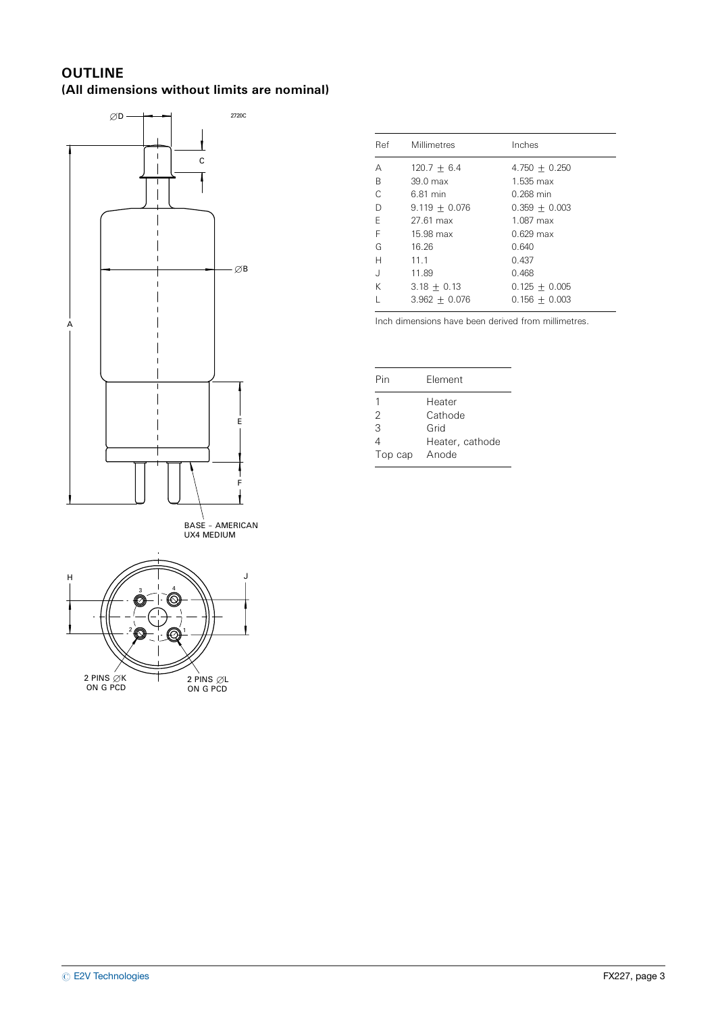### **OUTLINE** (All dimensions without limits are nominal)





2 PINS ∅L<br>ON G PCD

| Ref | Millimetres     | Inches          |
|-----|-----------------|-----------------|
| Α   | $120.7 + 6.4$   | $4.750 + 0.250$ |
| B   | $39.0$ max      | $1.535$ max     |
| C   | 6.81 min        | $0.268$ min     |
| D   | $9.119 + 0.076$ | $0.359 + 0.003$ |
| F   | 27.61 max       | 1.087 max       |
| F   | 15.98 max       | $0.629$ max     |
| G   | 16.26           | 0.640           |
| Н   | 11.1            | 0.437           |
| J.  | 11.89           | 0.468           |
| Κ   | $3.18 + 0.13$   | $0.125 + 0.005$ |
|     | $3.962 + 0.076$ | $0.156 + 0.003$ |

Inch dimensions have been derived from millimetres.

| Pin     | Flement         |
|---------|-----------------|
|         | Heater          |
| 2       | Cathode         |
| 3       | Grid            |
| Δ       | Heater, cathode |
| Top cap | Anode           |

2 PINS ∅K<br>ON G PCD